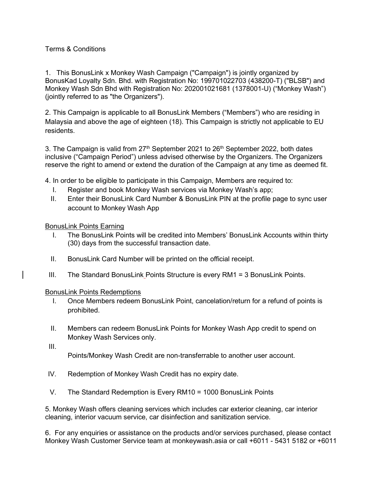## Terms & Conditions

1. This BonusLink x Monkey Wash Campaign ("Campaign") is jointly organized by BonusKad Loyalty Sdn. Bhd. with Registration No: 199701022703 (438200-T) ("BLSB") and Monkey Wash Sdn Bhd with Registration No: 202001021681 (1378001-U) ("Monkey Wash") (jointly referred to as "the Organizers").

2. This Campaign is applicable to all BonusLink Members ("Members") who are residing in Malaysia and above the age of eighteen (18). This Campaign is strictly not applicable to EU residents.

3. The Campaign is valid from  $27<sup>th</sup>$  September 2021 to  $26<sup>th</sup>$  September 2022, both dates inclusive ("Campaign Period") unless advised otherwise by the Organizers. The Organizers reserve the right to amend or extend the duration of the Campaign at any time as deemed fit.

4. In order to be eligible to participate in this Campaign, Members are required to:

- I. Register and book Monkey Wash services via Monkey Wash's app;
- II. Enter their BonusLink Card Number & BonusLink PIN at the profile page to sync user account to Monkey Wash App

BonusLink Points Earning

- I. The BonusLink Points will be credited into Members' BonusLink Accounts within thirty (30) days from the successful transaction date.
- II. BonusLink Card Number will be printed on the official receipt.
- III. The Standard BonusLink Points Structure is every RM1 = 3 BonusLink Points.

## BonusLink Points Redemptions

- I. Once Members redeem BonusLink Point, cancelation/return for a refund of points is prohibited.
- II. Members can redeem BonusLink Points for Monkey Wash App credit to spend on Monkey Wash Services only.
- III.

Points/Monkey Wash Credit are non-transferrable to another user account.

- IV. Redemption of Monkey Wash Credit has no expiry date.
- V. The Standard Redemption is Every RM10 = 1000 BonusLink Points

5. Monkey Wash offers cleaning services which includes car exterior cleaning, car interior cleaning, interior vacuum service, car disinfection and sanitization service.

6. For any enquiries or assistance on the products and/or services purchased, please contact Monkey Wash Customer Service team at monkeywash.asia or call +6011 - 5431 5182 or +6011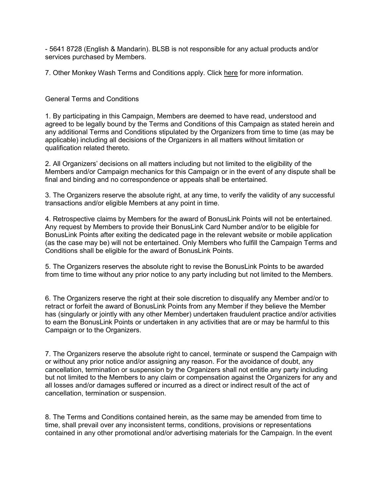- 5641 8728 (English & Mandarin). BLSB is not responsible for any actual products and/or services purchased by Members.

7. Other Monkey Wash Terms and Conditions apply. Click here for more information.

## General Terms and Conditions

1. By participating in this Campaign, Members are deemed to have read, understood and agreed to be legally bound by the Terms and Conditions of this Campaign as stated herein and any additional Terms and Conditions stipulated by the Organizers from time to time (as may be applicable) including all decisions of the Organizers in all matters without limitation or qualification related thereto.

2. All Organizers' decisions on all matters including but not limited to the eligibility of the Members and/or Campaign mechanics for this Campaign or in the event of any dispute shall be final and binding and no correspondence or appeals shall be entertained.

3. The Organizers reserve the absolute right, at any time, to verify the validity of any successful transactions and/or eligible Members at any point in time.

4. Retrospective claims by Members for the award of BonusLink Points will not be entertained. Any request by Members to provide their BonusLink Card Number and/or to be eligible for BonusLink Points after exiting the dedicated page in the relevant website or mobile application (as the case may be) will not be entertained. Only Members who fulfill the Campaign Terms and Conditions shall be eligible for the award of BonusLink Points.

5. The Organizers reserves the absolute right to revise the BonusLink Points to be awarded from time to time without any prior notice to any party including but not limited to the Members.

6. The Organizers reserve the right at their sole discretion to disqualify any Member and/or to retract or forfeit the award of BonusLink Points from any Member if they believe the Member has (singularly or jointly with any other Member) undertaken fraudulent practice and/or activities to earn the BonusLink Points or undertaken in any activities that are or may be harmful to this Campaign or to the Organizers.

7. The Organizers reserve the absolute right to cancel, terminate or suspend the Campaign with or without any prior notice and/or assigning any reason. For the avoidance of doubt, any cancellation, termination or suspension by the Organizers shall not entitle any party including but not limited to the Members to any claim or compensation against the Organizers for any and all losses and/or damages suffered or incurred as a direct or indirect result of the act of cancellation, termination or suspension.

8. The Terms and Conditions contained herein, as the same may be amended from time to time, shall prevail over any inconsistent terms, conditions, provisions or representations contained in any other promotional and/or advertising materials for the Campaign. In the event